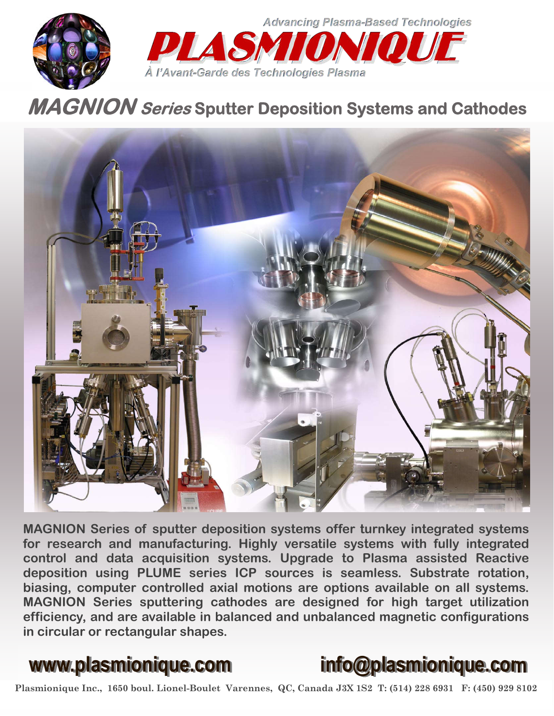



**MAGNION Series Sputter Deposition Systems and Cathodes** 



**MAGNION Series of sputter deposition systems offer turnkey integrated systems for research and manufacturing. Highly versatile systems with fully integrated control and data acquisition systems. Upgrade to Plasma assisted Reactive deposition using PLUME series ICP sources is seamless. Substrate rotation, biasing, computer controlled axial motions are options available on all systems. MAGNION Series sputtering cathodes are designed for high target utilization efficiency, and are available in balanced and unbalanced magnetic configurations in circular or rectangular shapes.** 



Plasmionique Inc., 1650 boul. Lionel-Boulet Varennes, QC, Canada J3X 1S2 T: (514) 228 6931 F: (450) 929 8102